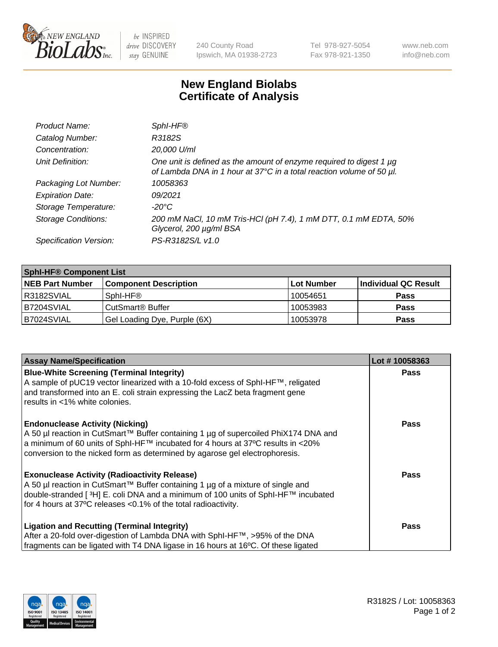

 $be$  INSPIRED drive DISCOVERY stay GENUINE

240 County Road Ipswich, MA 01938-2723 Tel 978-927-5054 Fax 978-921-1350 www.neb.com info@neb.com

## **New England Biolabs Certificate of Analysis**

| Product Name:              | Sphl-HF®                                                                                                                                         |
|----------------------------|--------------------------------------------------------------------------------------------------------------------------------------------------|
| Catalog Number:            | R3182S                                                                                                                                           |
| Concentration:             | 20,000 U/ml                                                                                                                                      |
| Unit Definition:           | One unit is defined as the amount of enzyme required to digest 1 $\mu$ g<br>of Lambda DNA in 1 hour at 37°C in a total reaction volume of 50 µl. |
| Packaging Lot Number:      | 10058363                                                                                                                                         |
| <b>Expiration Date:</b>    | 09/2021                                                                                                                                          |
| Storage Temperature:       | -20°C                                                                                                                                            |
| <b>Storage Conditions:</b> | 200 mM NaCl, 10 mM Tris-HCl (pH 7.4), 1 mM DTT, 0.1 mM EDTA, 50%<br>Glycerol, 200 µg/ml BSA                                                      |
| Specification Version:     | PS-R3182S/L v1.0                                                                                                                                 |

| <b>Sphi-HF® Component List</b> |                              |            |                      |  |  |
|--------------------------------|------------------------------|------------|----------------------|--|--|
| <b>NEB Part Number</b>         | <b>Component Description</b> | Lot Number | Individual QC Result |  |  |
| R3182SVIAL                     | Sphl-HF®                     | 10054651   | <b>Pass</b>          |  |  |
| B7204SVIAL                     | CutSmart <sup>®</sup> Buffer | 10053983   | <b>Pass</b>          |  |  |
| B7024SVIAL                     | Gel Loading Dye, Purple (6X) | 10053978   | <b>Pass</b>          |  |  |

| <b>Assay Name/Specification</b>                                                                                                                                                                                                                                | Lot #10058363 |
|----------------------------------------------------------------------------------------------------------------------------------------------------------------------------------------------------------------------------------------------------------------|---------------|
| <b>Blue-White Screening (Terminal Integrity)</b><br>A sample of pUC19 vector linearized with a 10-fold excess of SphI-HF™, religated                                                                                                                           | <b>Pass</b>   |
| and transformed into an E. coli strain expressing the LacZ beta fragment gene<br>results in <1% white colonies.                                                                                                                                                |               |
| <b>Endonuclease Activity (Nicking)</b>                                                                                                                                                                                                                         | <b>Pass</b>   |
| A 50 µl reaction in CutSmart™ Buffer containing 1 µg of supercoiled PhiX174 DNA and<br>$\alpha$ a minimum of 60 units of SphI-HF™ incubated for 4 hours at 37°C results in <20%<br>conversion to the nicked form as determined by agarose gel electrophoresis. |               |
| <b>Exonuclease Activity (Radioactivity Release)</b>                                                                                                                                                                                                            | Pass          |
| A 50 µl reaction in CutSmart™ Buffer containing 1 µg of a mixture of single and<br>double-stranded [ <sup>3</sup> H] E. coli DNA and a minimum of 100 units of Sphl-HF™ incubated                                                                              |               |
| for 4 hours at 37°C releases <0.1% of the total radioactivity.                                                                                                                                                                                                 |               |
| <b>Ligation and Recutting (Terminal Integrity)</b>                                                                                                                                                                                                             | <b>Pass</b>   |
| After a 20-fold over-digestion of Lambda DNA with SphI-HF™, >95% of the DNA                                                                                                                                                                                    |               |
| fragments can be ligated with T4 DNA ligase in 16 hours at 16°C. Of these ligated                                                                                                                                                                              |               |